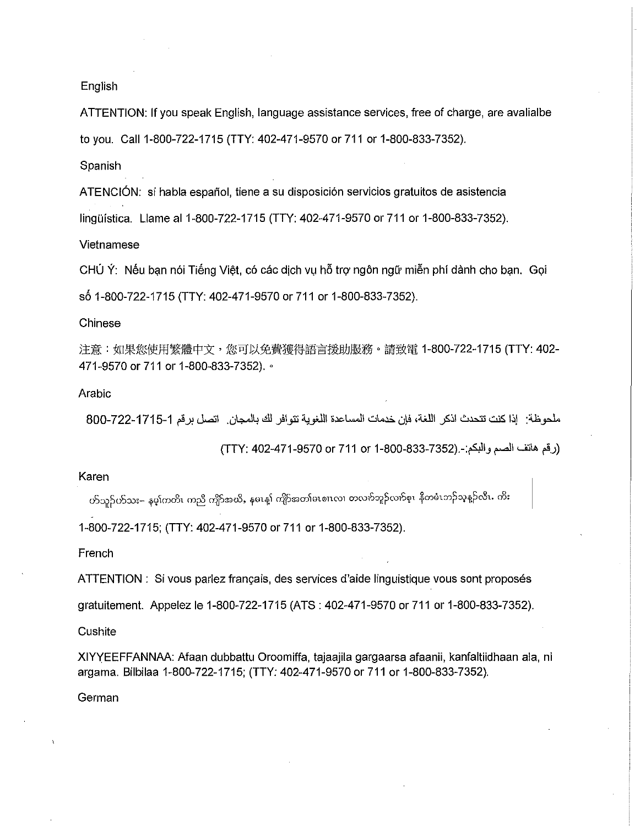## English

ATTENTION: If you speak English, language assistance services, free of charge, are avalialbe to you. Call1-800-722-1715 (TTY: 402-471-9570 or 711 or 1-800-833-7352).

Spanish

ATENCIÓN: si habla español, tiene a su disposición servicios gratuitos de asistencia linguistica. Llame al 1-800-722-1715 (TTY: 402-471-9570 or 711 or 1-800-833-7352).

Vietnamese

 $CHU Y$ : Nếu bạn nói Tiếng Việt, có các dịch vụ hỗ trợ ngôn ngữ miễn phí dành cho bạn. Gọi s6 1-800-722-1715 (TTY: 402-471-9570 or 711 or 1-800-833-7352).

Chinese

注意:如果您使用繁體中文,您可以免費獲得語言援助服務。請致電 1-800-722-1715 (TTY: 402-471-9570 or 711 or 1-800-833-7352). <sup>o</sup>

## Arabic

ملحوظة: إذا كنت تتحدث اذكر اللغة، فإن خدمات المساعدة اللغوية تتوافر لك بالمجان. اتصل برقم 1-1715-722-800

(رقم هاتف الصم والبكم:-.(832-833-830-711) TTY: 402-471-9570 or 711 or 1-800

Karen

ဟ်သူဉ်ဟ်သး– နမ့၊်ကတိၤ ကညီ ကျိာ်အယိႇ နမၤန္၊် ကျိာ်အတ၊်မၤစၢၤလၢ တလက်ဘူဉ်လက်စ္၊ နီတမံၤဘဉ်သုန္ဉာ်လီၤ. ကိး

1-800-722-1715; (TTY: 402-471-9570 or 711 or 1-800-833-7352).

French

ATTENTION : Si vous parlez français, des services d'aide linguistique vous sont proposés

gratuitement. Appelez le 1-800-722-1715 (ATS : 402-471-9570 or 711 or 1-800-833-7352).

**Cushite** 

XIYYEEFFANNAA: Afaan dubbattu Oroomiffa, tajaajila gargaarsa afaanii, kanfaltiidhaan ala, ni argama. Bilbilaa 1-800-722-1715; (TTY: 402-471-9570 or 711 or 1-800-833-7352).

German